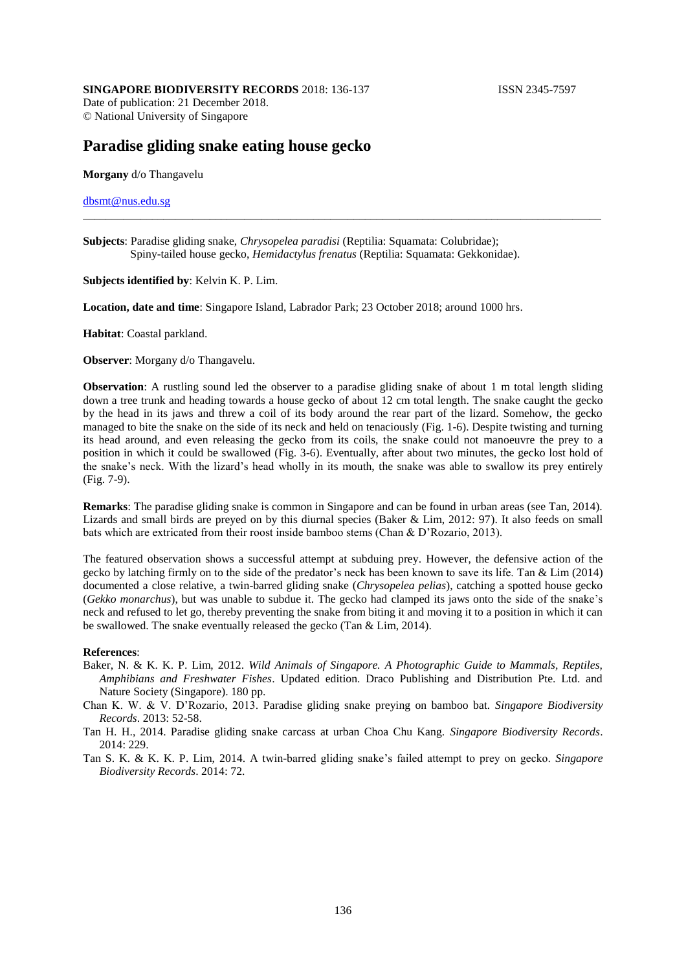## **SINGAPORE BIODIVERSITY RECORDS** 2018: 136-137 **ISSN 2345-7597**

Date of publication: 21 December 2018. © National University of Singapore

# **Paradise gliding snake eating house gecko**

**Morgany** d/o Thangavelu

## dbsmt@nus.edu.sg

**Subjects**: Paradise gliding snake, *Chrysopelea paradisi* (Reptilia: Squamata: Colubridae); Spiny-tailed house gecko, *Hemidactylus frenatus* (Reptilia: Squamata: Gekkonidae).

#### **Subjects identified by**: Kelvin K. P. Lim.

**Location, date and time**: Singapore Island, Labrador Park; 23 October 2018; around 1000 hrs.

**Habitat**: Coastal parkland.

**Observer**: Morgany d/o Thangavelu.

**Observation**: A rustling sound led the observer to a paradise gliding snake of about 1 m total length sliding down a tree trunk and heading towards a house gecko of about 12 cm total length. The snake caught the gecko by the head in its jaws and threw a coil of its body around the rear part of the lizard. Somehow, the gecko managed to bite the snake on the side of its neck and held on tenaciously (Fig. 1-6). Despite twisting and turning its head around, and even releasing the gecko from its coils, the snake could not manoeuvre the prey to a position in which it could be swallowed (Fig. 3-6). Eventually, after about two minutes, the gecko lost hold of the snake's neck. With the lizard's head wholly in its mouth, the snake was able to swallow its prey entirely (Fig. 7-9).

\_\_\_\_\_\_\_\_\_\_\_\_\_\_\_\_\_\_\_\_\_\_\_\_\_\_\_\_\_\_\_\_\_\_\_\_\_\_\_\_\_\_\_\_\_\_\_\_\_\_\_\_\_\_\_\_\_\_\_\_\_\_\_\_\_\_\_\_\_\_\_\_\_\_\_\_\_\_\_\_\_\_\_\_\_\_\_\_\_\_

**Remarks**: The paradise gliding snake is common in Singapore and can be found in urban areas (see Tan, 2014). Lizards and small birds are preyed on by this diurnal species (Baker & Lim, 2012: 97). It also feeds on small bats which are extricated from their roost inside bamboo stems (Chan & D'Rozario, 2013).

The featured observation shows a successful attempt at subduing prey. However, the defensive action of the gecko by latching firmly on to the side of the predator's neck has been known to save its life. Tan & Lim (2014) documented a close relative, a twin-barred gliding snake (*Chrysopelea pelias*), catching a spotted house gecko (*Gekko monarchus*), but was unable to subdue it. The gecko had clamped its jaws onto the side of the snake's neck and refused to let go, thereby preventing the snake from biting it and moving it to a position in which it can be swallowed. The snake eventually released the gecko (Tan & Lim, 2014).

#### **References**:

- Baker, N. & K. K. P. Lim, 2012. *Wild Animals of Singapore. A Photographic Guide to Mammals, Reptiles, Amphibians and Freshwater Fishes*. Updated edition. Draco Publishing and Distribution Pte. Ltd. and Nature Society (Singapore). 180 pp.
- Chan K. W. & V. D'Rozario, 2013. Paradise gliding snake preying on bamboo bat. *Singapore Biodiversity Records*. 2013: 52-58.
- Tan H. H., 2014. Paradise gliding snake carcass at urban Choa Chu Kang. *Singapore Biodiversity Records*. 2014: 229.
- Tan S. K. & K. K. P. Lim, 2014. A twin-barred gliding snake's failed attempt to prey on gecko. *Singapore Biodiversity Records*. 2014: 72.